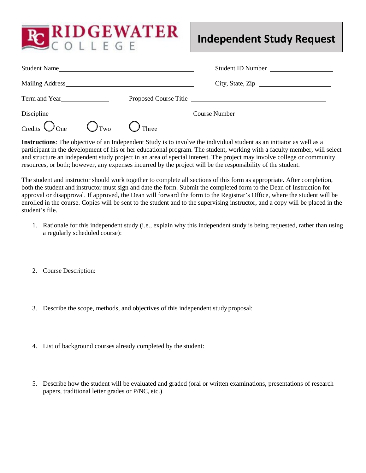

## **Independent Study Request**

|                        |                        | Student Name | Student ID Number     |
|------------------------|------------------------|--------------|-----------------------|
|                        |                        |              | City, State, Zip      |
| Term and Year          |                        |              | Proposed Course Title |
|                        |                        |              | Course Number         |
| Credits $\bigcirc$ One | $\bigcup_{\text{Two}}$ | Three        |                       |

**Instructions**: The objective of an Independent Study is to involve the individual student as an initiator as well as a participant in the development of his or her educational program. The student, working with a faculty member, will select and structure an independent study project in an area of special interest. The project may involve college or community resources, or both; however, any expenses incurred by the project will be the responsibility of the student.

The student and instructor should work together to complete all sections of this form as appropriate. After completion, both the student and instructor must sign and date the form. Submit the completed form to the Dean of Instruction for approval or disapproval. If approved, the Dean will forward the form to the Registrar's Office, where the student will be enrolled in the course. Copies will be sent to the student and to the supervising instructor, and a copy will be placed in the student's file.

- 1. Rationale for this independent study (i.e., explain why this independent study is being requested, rather than using a regularly scheduled course):
- 2. Course Description:
- 3. Describe the scope, methods, and objectives of this independent study proposal:
- 4. List of background courses already completed by the student:
- 5. Describe how the student will be evaluated and graded (oral or written examinations, presentations of research papers, traditional letter grades or P/NC, etc.)